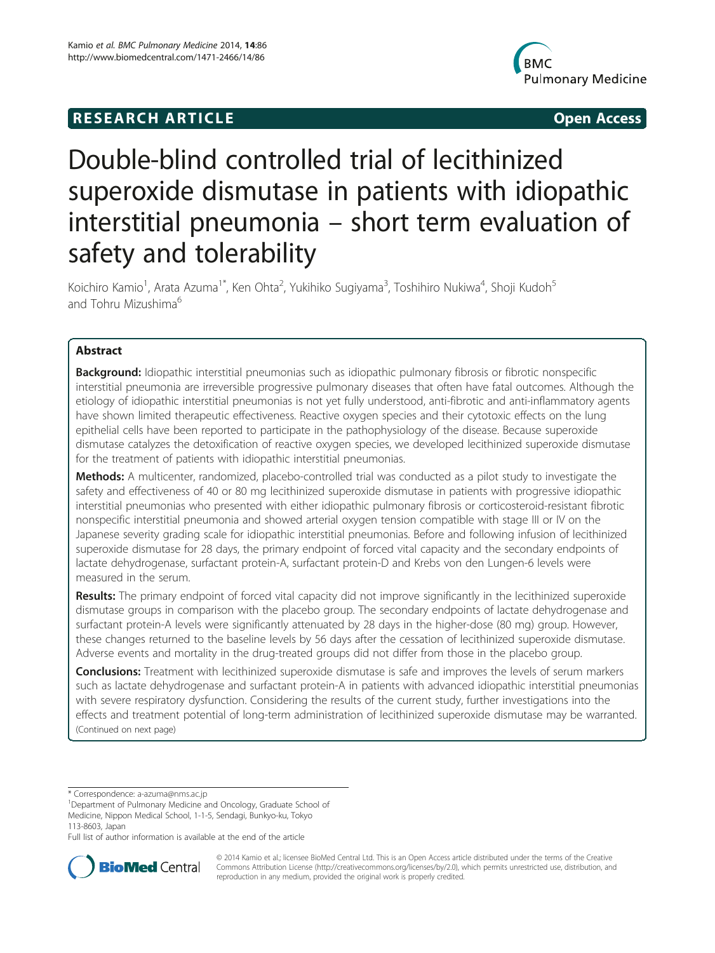## **RESEARCH ARTICLE Example 2014 CONSIDERING CONSIDERING CONSIDERING CONSIDERING CONSIDERING CONSIDERING CONSIDERING CONSIDERING CONSIDERING CONSIDERING CONSIDERING CONSIDERING CONSIDERING CONSIDERING CONSIDERING CONSIDE**



# Double-blind controlled trial of lecithinized superoxide dismutase in patients with idiopathic interstitial pneumonia – short term evaluation of safety and tolerability

Koichiro Kamio<sup>1</sup>, Arata Azuma<sup>1\*</sup>, Ken Ohta<sup>2</sup>, Yukihiko Sugiyama<sup>3</sup>, Toshihiro Nukiwa<sup>4</sup>, Shoji Kudoh<sup>5</sup> and Tohru Mizushima<sup>6</sup>

### Abstract

Background: Idiopathic interstitial pneumonias such as idiopathic pulmonary fibrosis or fibrotic nonspecific interstitial pneumonia are irreversible progressive pulmonary diseases that often have fatal outcomes. Although the etiology of idiopathic interstitial pneumonias is not yet fully understood, anti-fibrotic and anti-inflammatory agents have shown limited therapeutic effectiveness. Reactive oxygen species and their cytotoxic effects on the lung epithelial cells have been reported to participate in the pathophysiology of the disease. Because superoxide dismutase catalyzes the detoxification of reactive oxygen species, we developed lecithinized superoxide dismutase for the treatment of patients with idiopathic interstitial pneumonias.

Methods: A multicenter, randomized, placebo-controlled trial was conducted as a pilot study to investigate the safety and effectiveness of 40 or 80 mg lecithinized superoxide dismutase in patients with progressive idiopathic interstitial pneumonias who presented with either idiopathic pulmonary fibrosis or corticosteroid-resistant fibrotic nonspecific interstitial pneumonia and showed arterial oxygen tension compatible with stage III or IV on the Japanese severity grading scale for idiopathic interstitial pneumonias. Before and following infusion of lecithinized superoxide dismutase for 28 days, the primary endpoint of forced vital capacity and the secondary endpoints of lactate dehydrogenase, surfactant protein-A, surfactant protein-D and Krebs von den Lungen-6 levels were measured in the serum.

Results: The primary endpoint of forced vital capacity did not improve significantly in the lecithinized superoxide dismutase groups in comparison with the placebo group. The secondary endpoints of lactate dehydrogenase and surfactant protein-A levels were significantly attenuated by 28 days in the higher-dose (80 mg) group. However, these changes returned to the baseline levels by 56 days after the cessation of lecithinized superoxide dismutase. Adverse events and mortality in the drug-treated groups did not differ from those in the placebo group.

**Conclusions:** Treatment with lecithinized superoxide dismutase is safe and improves the levels of serum markers such as lactate dehydrogenase and surfactant protein-A in patients with advanced idiopathic interstitial pneumonias with severe respiratory dysfunction. Considering the results of the current study, further investigations into the effects and treatment potential of long-term administration of lecithinized superoxide dismutase may be warranted. (Continued on next page)

\* Correspondence: [a-azuma@nms.ac.jp](mailto:a-azuma@nms.ac.jp) <sup>1</sup>

Full list of author information is available at the end of the article



© 2014 Kamio et al.; licensee BioMed Central Ltd. This is an Open Access article distributed under the terms of the Creative Commons Attribution License [\(http://creativecommons.org/licenses/by/2.0\)](http://creativecommons.org/licenses/by/2.0), which permits unrestricted use, distribution, and reproduction in any medium, provided the original work is properly credited.

Department of Pulmonary Medicine and Oncology, Graduate School of Medicine, Nippon Medical School, 1-1-5, Sendagi, Bunkyo-ku, Tokyo 113-8603, Japan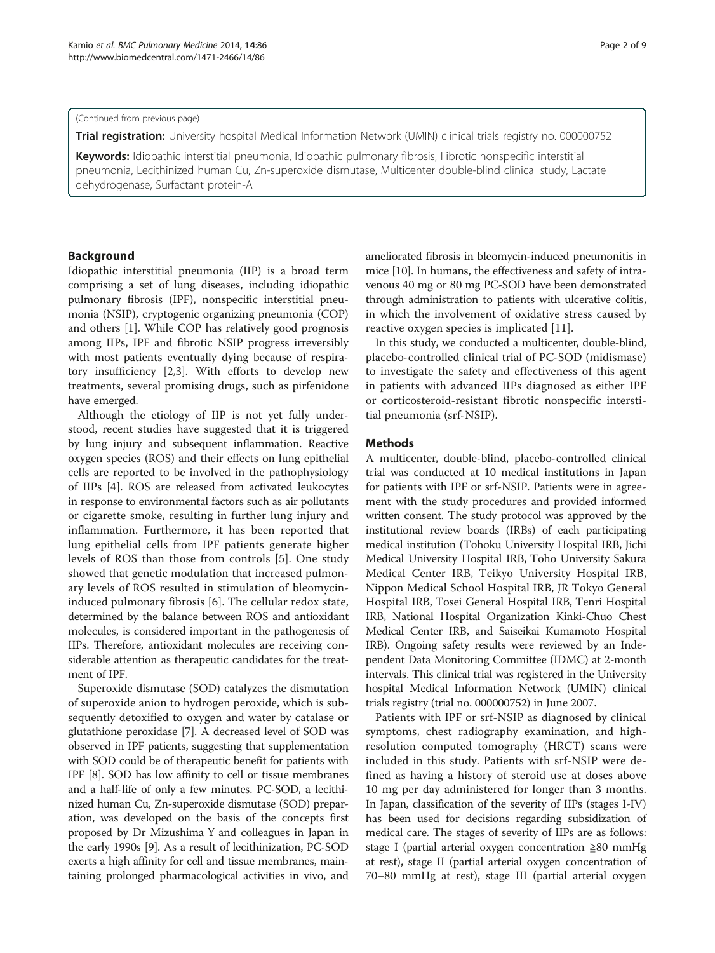#### (Continued from previous page)

Trial registration: University hospital Medical Information Network (UMIN) clinical trials registry no. [000000752](https://upload.umin.ac.jp/cgi-open-bin/ctr/ctr.cgi?function=brows&action=brows&recptno=R000000903&type=summary&language=E)

Keywords: Idiopathic interstitial pneumonia, Idiopathic pulmonary fibrosis, Fibrotic nonspecific interstitial pneumonia, Lecithinized human Cu, Zn-superoxide dismutase, Multicenter double-blind clinical study, Lactate dehydrogenase, Surfactant protein-A

#### Background

Idiopathic interstitial pneumonia (IIP) is a broad term comprising a set of lung diseases, including idiopathic pulmonary fibrosis (IPF), nonspecific interstitial pneumonia (NSIP), cryptogenic organizing pneumonia (COP) and others [[1\]](#page-7-0). While COP has relatively good prognosis among IIPs, IPF and fibrotic NSIP progress irreversibly with most patients eventually dying because of respiratory insufficiency [\[2,3](#page-7-0)]. With efforts to develop new treatments, several promising drugs, such as pirfenidone have emerged.

Although the etiology of IIP is not yet fully understood, recent studies have suggested that it is triggered by lung injury and subsequent inflammation. Reactive oxygen species (ROS) and their effects on lung epithelial cells are reported to be involved in the pathophysiology of IIPs [\[4](#page-7-0)]. ROS are released from activated leukocytes in response to environmental factors such as air pollutants or cigarette smoke, resulting in further lung injury and inflammation. Furthermore, it has been reported that lung epithelial cells from IPF patients generate higher levels of ROS than those from controls [\[5](#page-7-0)]. One study showed that genetic modulation that increased pulmonary levels of ROS resulted in stimulation of bleomycininduced pulmonary fibrosis [[6\]](#page-7-0). The cellular redox state, determined by the balance between ROS and antioxidant molecules, is considered important in the pathogenesis of IIPs. Therefore, antioxidant molecules are receiving considerable attention as therapeutic candidates for the treatment of IPF.

Superoxide dismutase (SOD) catalyzes the dismutation of superoxide anion to hydrogen peroxide, which is subsequently detoxified to oxygen and water by catalase or glutathione peroxidase [\[7](#page-7-0)]. A decreased level of SOD was observed in IPF patients, suggesting that supplementation with SOD could be of therapeutic benefit for patients with IPF [[8\]](#page-7-0). SOD has low affinity to cell or tissue membranes and a half-life of only a few minutes. PC-SOD, a lecithinized human Cu, Zn-superoxide dismutase (SOD) preparation, was developed on the basis of the concepts first proposed by Dr Mizushima Y and colleagues in Japan in the early 1990s [\[9](#page-7-0)]. As a result of lecithinization, PC-SOD exerts a high affinity for cell and tissue membranes, maintaining prolonged pharmacological activities in vivo, and ameliorated fibrosis in bleomycin-induced pneumonitis in mice [[10](#page-7-0)]. In humans, the effectiveness and safety of intravenous 40 mg or 80 mg PC-SOD have been demonstrated through administration to patients with ulcerative colitis, in which the involvement of oxidative stress caused by reactive oxygen species is implicated [[11](#page-7-0)].

In this study, we conducted a multicenter, double-blind, placebo-controlled clinical trial of PC-SOD (midismase) to investigate the safety and effectiveness of this agent in patients with advanced IIPs diagnosed as either IPF or corticosteroid-resistant fibrotic nonspecific interstitial pneumonia (srf-NSIP).

#### Methods

A multicenter, double-blind, placebo-controlled clinical trial was conducted at 10 medical institutions in Japan for patients with IPF or srf-NSIP. Patients were in agreement with the study procedures and provided informed written consent. The study protocol was approved by the institutional review boards (IRBs) of each participating medical institution (Tohoku University Hospital IRB, Jichi Medical University Hospital IRB, Toho University Sakura Medical Center IRB, Teikyo University Hospital IRB, Nippon Medical School Hospital IRB, JR Tokyo General Hospital IRB, Tosei General Hospital IRB, Tenri Hospital IRB, National Hospital Organization Kinki-Chuo Chest Medical Center IRB, and Saiseikai Kumamoto Hospital IRB). Ongoing safety results were reviewed by an Independent Data Monitoring Committee (IDMC) at 2-month intervals. This clinical trial was registered in the University hospital Medical Information Network (UMIN) clinical trials registry (trial no. 000000752) in June 2007.

Patients with IPF or srf-NSIP as diagnosed by clinical symptoms, chest radiography examination, and highresolution computed tomography (HRCT) scans were included in this study. Patients with srf-NSIP were defined as having a history of steroid use at doses above 10 mg per day administered for longer than 3 months. In Japan, classification of the severity of IIPs (stages I-IV) has been used for decisions regarding subsidization of medical care. The stages of severity of IIPs are as follows: stage I (partial arterial oxygen concentration ≧80 mmHg at rest), stage II (partial arterial oxygen concentration of 70–80 mmHg at rest), stage III (partial arterial oxygen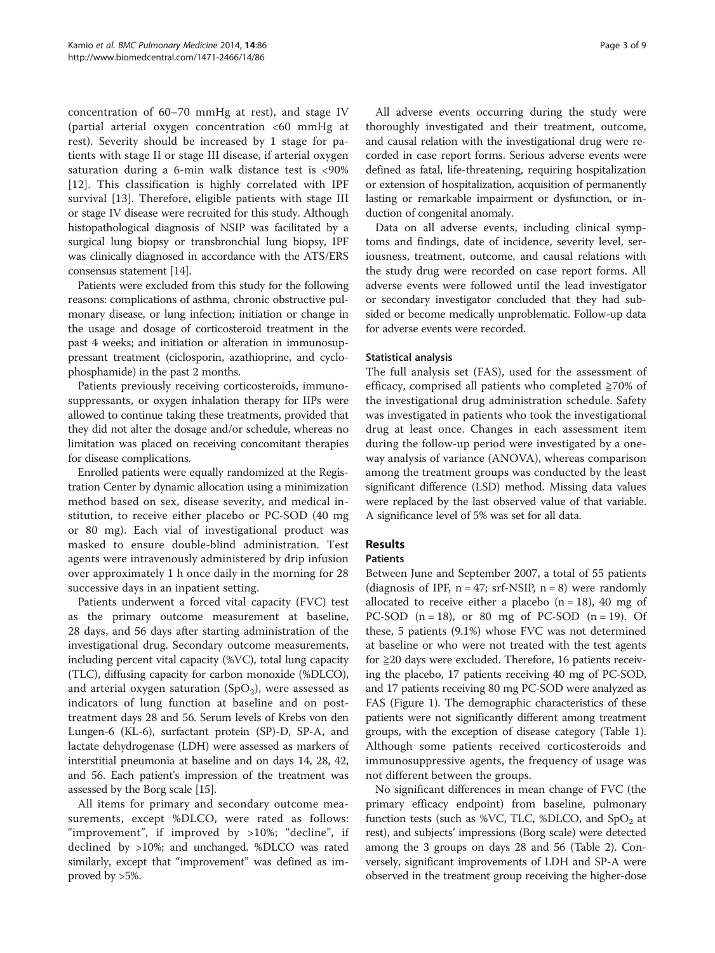concentration of 60–70 mmHg at rest), and stage IV (partial arterial oxygen concentration <60 mmHg at rest). Severity should be increased by 1 stage for patients with stage II or stage III disease, if arterial oxygen saturation during a 6-min walk distance test is <90% [[12](#page-7-0)]. This classification is highly correlated with IPF survival [\[13](#page-7-0)]. Therefore, eligible patients with stage III or stage IV disease were recruited for this study. Although histopathological diagnosis of NSIP was facilitated by a surgical lung biopsy or transbronchial lung biopsy, IPF was clinically diagnosed in accordance with the ATS/ERS consensus statement [[14](#page-7-0)].

Patients were excluded from this study for the following reasons: complications of asthma, chronic obstructive pulmonary disease, or lung infection; initiation or change in the usage and dosage of corticosteroid treatment in the past 4 weeks; and initiation or alteration in immunosuppressant treatment (ciclosporin, azathioprine, and cyclophosphamide) in the past 2 months.

Patients previously receiving corticosteroids, immunosuppressants, or oxygen inhalation therapy for IIPs were allowed to continue taking these treatments, provided that they did not alter the dosage and/or schedule, whereas no limitation was placed on receiving concomitant therapies for disease complications.

Enrolled patients were equally randomized at the Registration Center by dynamic allocation using a minimization method based on sex, disease severity, and medical institution, to receive either placebo or PC-SOD (40 mg or 80 mg). Each vial of investigational product was masked to ensure double-blind administration. Test agents were intravenously administered by drip infusion over approximately 1 h once daily in the morning for 28 successive days in an inpatient setting.

Patients underwent a forced vital capacity (FVC) test as the primary outcome measurement at baseline, 28 days, and 56 days after starting administration of the investigational drug. Secondary outcome measurements, including percent vital capacity (%VC), total lung capacity (TLC), diffusing capacity for carbon monoxide (%DLCO), and arterial oxygen saturation (SpO<sub>2</sub>), were assessed as indicators of lung function at baseline and on posttreatment days 28 and 56. Serum levels of Krebs von den Lungen-6 (KL-6), surfactant protein (SP)-D, SP-A, and lactate dehydrogenase (LDH) were assessed as markers of interstitial pneumonia at baseline and on days 14, 28, 42, and 56. Each patient's impression of the treatment was assessed by the Borg scale [[15](#page-7-0)].

All items for primary and secondary outcome measurements, except %DLCO, were rated as follows: "improvement", if improved by >10%; "decline", if declined by >10%; and unchanged. %DLCO was rated similarly, except that "improvement" was defined as improved by >5%.

All adverse events occurring during the study were thoroughly investigated and their treatment, outcome, and causal relation with the investigational drug were recorded in case report forms. Serious adverse events were defined as fatal, life-threatening, requiring hospitalization or extension of hospitalization, acquisition of permanently lasting or remarkable impairment or dysfunction, or induction of congenital anomaly.

Data on all adverse events, including clinical symptoms and findings, date of incidence, severity level, seriousness, treatment, outcome, and causal relations with the study drug were recorded on case report forms. All adverse events were followed until the lead investigator or secondary investigator concluded that they had subsided or become medically unproblematic. Follow-up data for adverse events were recorded.

#### Statistical analysis

The full analysis set (FAS), used for the assessment of efficacy, comprised all patients who completed  $\geq 70\%$  of the investigational drug administration schedule. Safety was investigated in patients who took the investigational drug at least once. Changes in each assessment item during the follow-up period were investigated by a oneway analysis of variance (ANOVA), whereas comparison among the treatment groups was conducted by the least significant difference (LSD) method. Missing data values were replaced by the last observed value of that variable. A significance level of 5% was set for all data.

### Results

#### Patients

Between June and September 2007, a total of 55 patients (diagnosis of IPF,  $n = 47$ ; srf-NSIP,  $n = 8$ ) were randomly allocated to receive either a placebo  $(n = 18)$ , 40 mg of PC-SOD  $(n = 18)$ , or 80 mg of PC-SOD  $(n = 19)$ . Of these, 5 patients (9.1%) whose FVC was not determined at baseline or who were not treated with the test agents for ≧20 days were excluded. Therefore, 16 patients receiving the placebo, 17 patients receiving 40 mg of PC-SOD, and 17 patients receiving 80 mg PC-SOD were analyzed as FAS (Figure [1\)](#page-3-0). The demographic characteristics of these patients were not significantly different among treatment groups, with the exception of disease category (Table [1](#page-4-0)). Although some patients received corticosteroids and immunosuppressive agents, the frequency of usage was not different between the groups.

No significant differences in mean change of FVC (the primary efficacy endpoint) from baseline, pulmonary function tests (such as %VC, TLC, %DLCO, and  $SpO<sub>2</sub>$  at rest), and subjects' impressions (Borg scale) were detected among the 3 groups on days 28 and 56 (Table [2\)](#page-5-0). Conversely, significant improvements of LDH and SP-A were observed in the treatment group receiving the higher-dose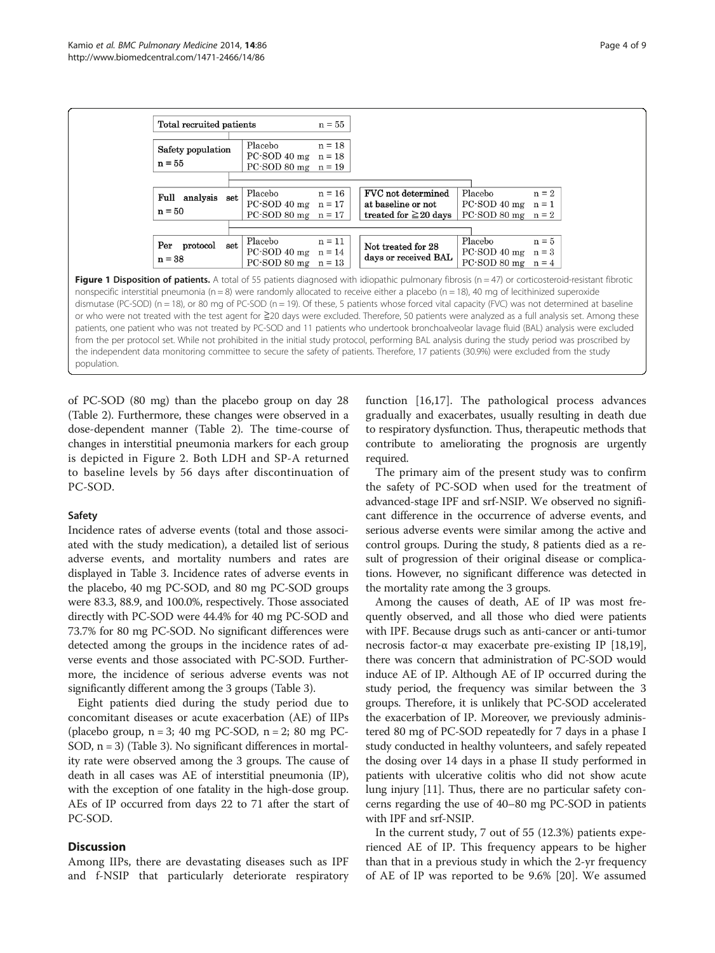<span id="page-3-0"></span>

of PC-SOD (80 mg) than the placebo group on day 28 (Table [2\)](#page-5-0). Furthermore, these changes were observed in a dose-dependent manner (Table [2](#page-5-0)). The time-course of changes in interstitial pneumonia markers for each group is depicted in Figure [2.](#page-5-0) Both LDH and SP-A returned to baseline levels by 56 days after discontinuation of PC-SOD.

#### Safety

Incidence rates of adverse events (total and those associated with the study medication), a detailed list of serious adverse events, and mortality numbers and rates are displayed in Table [3.](#page-6-0) Incidence rates of adverse events in the placebo, 40 mg PC-SOD, and 80 mg PC-SOD groups were 83.3, 88.9, and 100.0%, respectively. Those associated directly with PC-SOD were 44.4% for 40 mg PC-SOD and 73.7% for 80 mg PC-SOD. No significant differences were detected among the groups in the incidence rates of adverse events and those associated with PC-SOD. Furthermore, the incidence of serious adverse events was not significantly different among the 3 groups (Table [3\)](#page-6-0).

Eight patients died during the study period due to concomitant diseases or acute exacerbation (AE) of IIPs (placebo group, n = 3; 40 mg PC-SOD, n = 2; 80 mg PC-SOD,  $n = 3$  $n = 3$ ) (Table 3). No significant differences in mortality rate were observed among the 3 groups. The cause of death in all cases was AE of interstitial pneumonia (IP), with the exception of one fatality in the high-dose group. AEs of IP occurred from days 22 to 71 after the start of PC-SOD.

#### **Discussion**

Among IIPs, there are devastating diseases such as IPF and f-NSIP that particularly deteriorate respiratory function [[16,17\]](#page-7-0). The pathological process advances gradually and exacerbates, usually resulting in death due to respiratory dysfunction. Thus, therapeutic methods that contribute to ameliorating the prognosis are urgently required.

The primary aim of the present study was to confirm the safety of PC-SOD when used for the treatment of advanced-stage IPF and srf-NSIP. We observed no significant difference in the occurrence of adverse events, and serious adverse events were similar among the active and control groups. During the study, 8 patients died as a result of progression of their original disease or complications. However, no significant difference was detected in the mortality rate among the 3 groups.

Among the causes of death, AE of IP was most frequently observed, and all those who died were patients with IPF. Because drugs such as anti-cancer or anti-tumor necrosis factor-α may exacerbate pre-existing IP [\[18,19](#page-7-0)], there was concern that administration of PC-SOD would induce AE of IP. Although AE of IP occurred during the study period, the frequency was similar between the 3 groups. Therefore, it is unlikely that PC-SOD accelerated the exacerbation of IP. Moreover, we previously administered 80 mg of PC-SOD repeatedly for 7 days in a phase I study conducted in healthy volunteers, and safely repeated the dosing over 14 days in a phase II study performed in patients with ulcerative colitis who did not show acute lung injury [\[11](#page-7-0)]. Thus, there are no particular safety concerns regarding the use of 40–80 mg PC-SOD in patients with IPF and srf-NSIP.

In the current study, 7 out of 55 (12.3%) patients experienced AE of IP. This frequency appears to be higher than that in a previous study in which the 2-yr frequency of AE of IP was reported to be 9.6% [\[20](#page-7-0)]. We assumed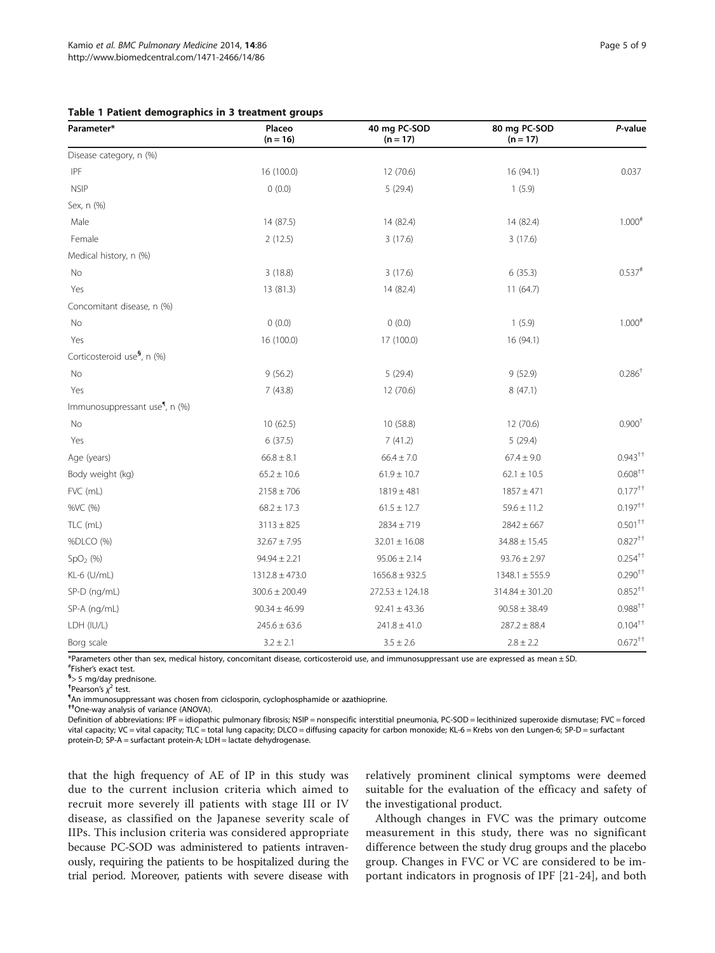<span id="page-4-0"></span>

|  |  |  | Table 1 Patient demographics in 3 treatment groups |  |  |  |  |
|--|--|--|----------------------------------------------------|--|--|--|--|
|--|--|--|----------------------------------------------------|--|--|--|--|

| Parameter*                                 | Placeo<br>$(n = 16)$ | 40 mg PC-SOD<br>$(n = 17)$ | 80 mg PC-SOD<br>$(n = 17)$ | P-value               |
|--------------------------------------------|----------------------|----------------------------|----------------------------|-----------------------|
| Disease category, n (%)                    |                      |                            |                            |                       |
| IPF                                        | 16 (100.0)           | 12 (70.6)                  | 16 (94.1)                  | 0.037                 |
| <b>NSIP</b>                                | 0(0.0)               | 5(29.4)                    | 1(5.9)                     |                       |
| Sex, n (%)                                 |                      |                            |                            |                       |
| Male                                       | 14 (87.5)            | 14 (82.4)                  | 14 (82.4)                  | $1.000^{#}$           |
| Female                                     | 2(12.5)              | 3(17.6)                    | 3(17.6)                    |                       |
| Medical history, n (%)                     |                      |                            |                            |                       |
| No                                         | 3(18.8)              | 3(17.6)                    | 6(35.3)                    | $0.537$ <sup>#</sup>  |
| Yes                                        | 13 (81.3)            | 14 (82.4)                  | 11 (64.7)                  |                       |
| Concomitant disease, n (%)                 |                      |                            |                            |                       |
| No                                         | 0(0.0)               | 0(0.0)                     | 1(5.9)                     | $1.000^{#}$           |
| Yes                                        | 16 (100.0)           | 17 (100.0)                 | 16 (94.1)                  |                       |
| Corticosteroid use <sup>§</sup> , n (%)    |                      |                            |                            |                       |
| No                                         | 9(56.2)              | 5(29.4)                    | 9(52.9)                    | 0.286 <sup>†</sup>    |
| Yes                                        | 7(43.8)              | 12 (70.6)                  | 8(47.1)                    |                       |
| Immunosuppressant use <sup>1</sup> , n (%) |                      |                            |                            |                       |
| No                                         | 10 (62.5)            | 10 (58.8)                  | 12 (70.6)                  | $0.900^{\dagger}$     |
| Yes                                        | 6(37.5)              | 7(41.2)                    | 5(29.4)                    |                       |
| Age (years)                                | $66.8 \pm 8.1$       | $66.4 \pm 7.0$             | $67.4 \pm 9.0$             | $0.943$ <sup>++</sup> |
| Body weight (kg)                           | $65.2 \pm 10.6$      | $61.9 \pm 10.7$            | $62.1 \pm 10.5$            | $0.608^{+1}$          |
| FVC (mL)                                   | $2158 \pm 706$       | $1819 \pm 481$             | $1857 \pm 471$             | $0.177^{++}$          |
| %VC (%)                                    | $68.2 \pm 17.3$      | $61.5 \pm 12.7$            | $59.6 \pm 11.2$            | $0.197$ <sup>++</sup> |
| TLC (mL)                                   | $3113 \pm 825$       | $2834 \pm 719$             | $2842 \pm 667$             | $0.501$ <sup>++</sup> |
| %DLCO (%)                                  | $32.67 \pm 7.95$     | $32.01 \pm 16.08$          | $34.88 \pm 15.45$          | $0.827$ <sup>++</sup> |
| $SpO2$ (%)                                 | $94.94 \pm 2.21$     | $95.06 \pm 2.14$           | $93.76 \pm 2.97$           | $0.254$ <sup>++</sup> |
| KL-6 (U/mL)                                | $1312.8 \pm 473.0$   | $1656.8 \pm 932.5$         | $1348.1 \pm 555.9$         | $0.290^{+1}$          |
| SP-D (ng/mL)                               | $300.6 \pm 200.49$   | $272.53 \pm 124.18$        | $314.84 \pm 301.20$        | $0.852^{++}$          |
| SP-A (ng/mL)                               | $90.34 \pm 46.99$    | $92.41 \pm 43.36$          | $90.58 \pm 38.49$          | $0.988^{+1}$          |
| LDH (IU/L)                                 | $245.6 \pm 63.6$     | $241.8 \pm 41.0$           | $287.2 \pm 88.4$           | $0.104^{++}$          |
| Borg scale                                 | $3.2 \pm 2.1$        | $3.5\pm2.6$                | $2.8 \pm 2.2$              | $0.672^{++}$          |

\*Parameters other than sex, medical history, concomitant disease, corticosteroid use, and immunosuppressant use are expressed as mean ± SD. *Fisher's exact test.*<br>**§** F ma/day produ

 $s$  5 mg/day prednisone.

 $+$ Pearson's  $\chi^2$  test.

An immunosuppressant was chosen from ciclosporin, cyclophosphamide or azathioprine.

††One-way analysis of variance (ANOVA).

Definition of abbreviations: IPF = idiopathic pulmonary fibrosis; NSIP = nonspecific interstitial pneumonia, PC-SOD = lecithinized superoxide dismutase; FVC = forced vital capacity; VC = vital capacity; TLC = total lung capacity; DLCO = diffusing capacity for carbon monoxide; KL-6 = Krebs von den Lungen-6; SP-D = surfactant protein-D; SP-A = surfactant protein-A; LDH = lactate dehydrogenase.

that the high frequency of AE of IP in this study was due to the current inclusion criteria which aimed to recruit more severely ill patients with stage III or IV disease, as classified on the Japanese severity scale of IIPs. This inclusion criteria was considered appropriate because PC-SOD was administered to patients intravenously, requiring the patients to be hospitalized during the trial period. Moreover, patients with severe disease with

relatively prominent clinical symptoms were deemed suitable for the evaluation of the efficacy and safety of the investigational product.

Although changes in FVC was the primary outcome measurement in this study, there was no significant difference between the study drug groups and the placebo group. Changes in FVC or VC are considered to be important indicators in prognosis of IPF [[21-](#page-7-0)[24\]](#page-8-0), and both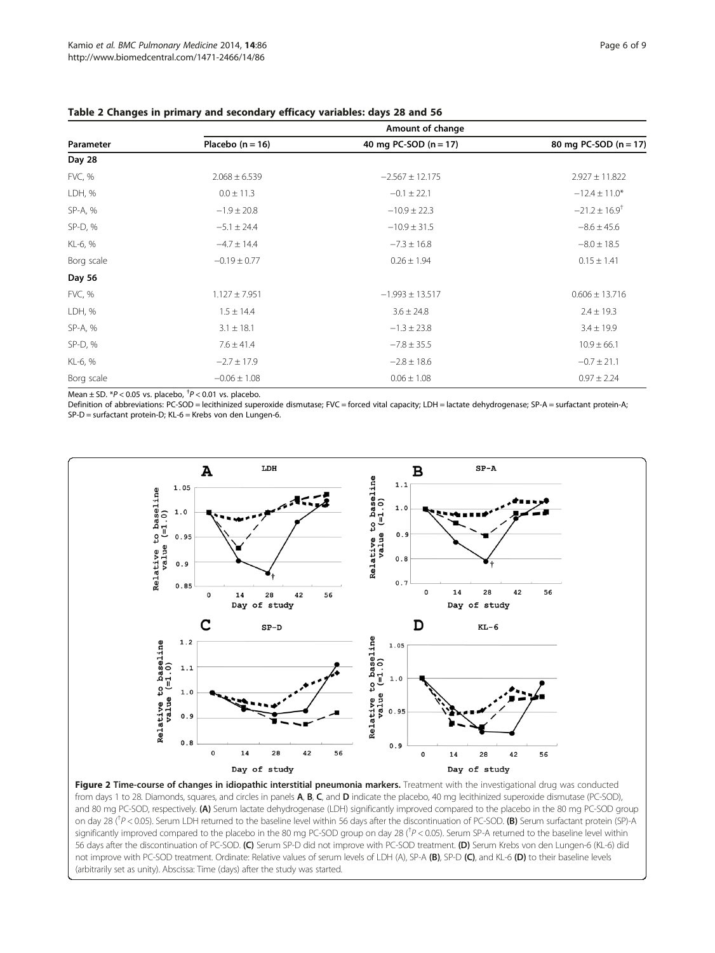|               | Amount of change   |                           |                               |  |  |  |
|---------------|--------------------|---------------------------|-------------------------------|--|--|--|
| Parameter     | Placebo $(n = 16)$ | 40 mg PC-SOD ( $n = 17$ ) | 80 mg PC-SOD ( $n = 17$ )     |  |  |  |
| Day 28        |                    |                           |                               |  |  |  |
| <b>FVC, %</b> | $2.068 \pm 6.539$  | $-2.567 \pm 12.175$       | $2.927 \pm 11.822$            |  |  |  |
| LDH, %        | $0.0 \pm 11.3$     | $-0.1 \pm 22.1$           | $-12.4 \pm 11.0*$             |  |  |  |
| SP-A, %       | $-1.9 \pm 20.8$    | $-10.9 \pm 22.3$          | $-21.2 \pm 16.9$ <sup>†</sup> |  |  |  |
| SP-D, %       | $-5.1 \pm 24.4$    | $-10.9 \pm 31.5$          | $-8.6 \pm 45.6$               |  |  |  |
| KL-6, %       | $-4.7 \pm 14.4$    | $-7.3 \pm 16.8$           | $-8.0 \pm 18.5$               |  |  |  |
| Borg scale    | $-0.19 \pm 0.77$   | $0.26 \pm 1.94$           | $0.15 \pm 1.41$               |  |  |  |
| Day 56        |                    |                           |                               |  |  |  |
| <b>FVC, %</b> | $1.127 \pm 7.951$  | $-1.993 \pm 13.517$       | $0.606 \pm 13.716$            |  |  |  |
| LDH, %        | $1.5 \pm 14.4$     | $3.6 \pm 24.8$            | $2.4 \pm 19.3$                |  |  |  |
| SP-A, %       | $3.1 \pm 18.1$     | $-1.3 \pm 23.8$           | $3.4 \pm 19.9$                |  |  |  |
| SP-D, %       | $7.6 \pm 41.4$     | $-7.8 \pm 35.5$           | $10.9 \pm 66.1$               |  |  |  |
| KL-6, %       | $-2.7 \pm 17.9$    | $-2.8 \pm 18.6$           | $-0.7 \pm 21.1$               |  |  |  |
| Borg scale    | $-0.06 \pm 1.08$   | $0.06 \pm 1.08$           | $0.97 \pm 2.24$               |  |  |  |

#### <span id="page-5-0"></span>Table 2 Changes in primary and secondary efficacy variables: days 28 and 56

Mean  $\pm$  SD.  $*P < 0.05$  vs. placebo,  $^{\dagger}P < 0.01$  vs. placebo.

Definition of abbreviations: PC-SOD = lecithinized superoxide dismutase; FVC = forced vital capacity; LDH = lactate dehydrogenase; SP-A = surfactant protein-A; SP-D = surfactant protein-D; KL-6 = Krebs von den Lungen-6.



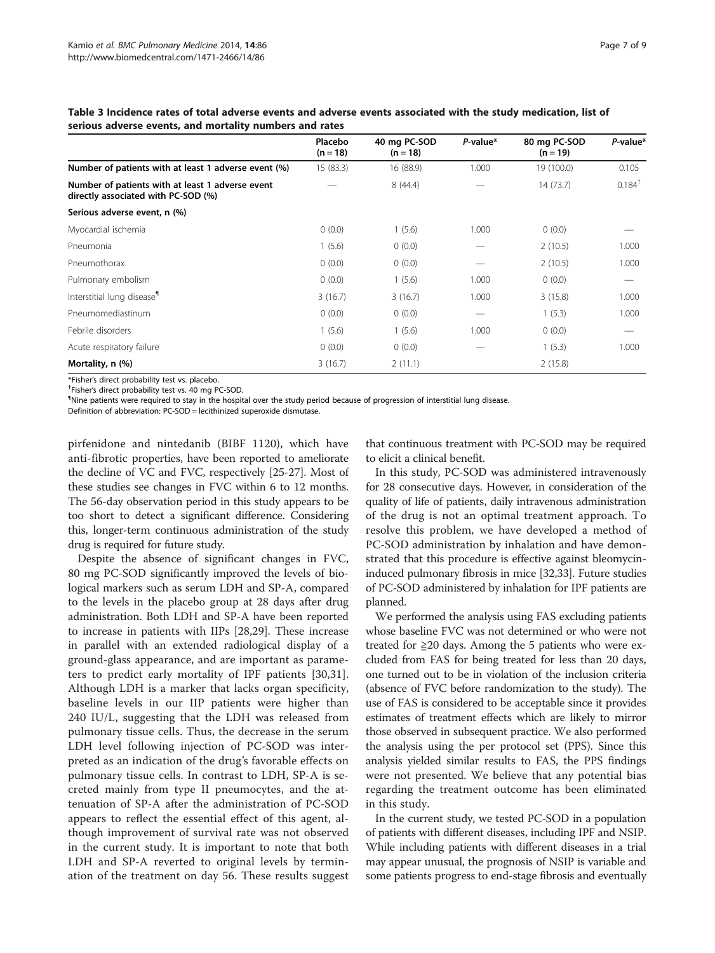|                                                                                         | Placebo<br>$(n = 18)$ | 40 mg PC-SOD<br>$(n = 18)$ | $P$ -value* | 80 mg PC-SOD<br>$(n = 19)$ | P-value*  |
|-----------------------------------------------------------------------------------------|-----------------------|----------------------------|-------------|----------------------------|-----------|
| Number of patients with at least 1 adverse event (%)                                    | 15 (83.3)             | 16 (88.9)                  | 1.000       | 19 (100.0)                 | 0.105     |
| Number of patients with at least 1 adverse event<br>directly associated with PC-SOD (%) |                       | 8(44.4)                    |             | 14(73.7)                   | $0.184^+$ |
| Serious adverse event, n (%)                                                            |                       |                            |             |                            |           |
| Myocardial ischemia                                                                     | 0(0.0)                | 1(5.6)                     | 1.000       | 0(0.0)                     |           |
| Pneumonia                                                                               | 1(5.6)                | 0(0.0)                     |             | 2(10.5)                    | 1.000     |
| Pneumothorax                                                                            | 0(0.0)                | 0(0.0)                     |             | 2(10.5)                    | 1.000     |
| Pulmonary embolism                                                                      | 0(0.0)                | 1(5.6)                     | 1.000       | 0(0.0)                     |           |
| Interstitial lung disease <sup>1</sup>                                                  | 3(16.7)               | 3(16.7)                    | 1.000       | 3(15.8)                    | 1.000     |
| Pneumomediastinum                                                                       | 0(0.0)                | 0(0.0)                     |             | 1(5.3)                     | 1.000     |
| Febrile disorders                                                                       | 1(5.6)                | 1(5.6)                     | 1.000       | 0(0.0)                     |           |
| Acute respiratory failure                                                               | 0(0.0)                | 0(0.0)                     |             | 1(5.3)                     | 1.000     |
| Mortality, n (%)                                                                        | 3(16.7)               | 2(11.1)                    |             | 2(15.8)                    |           |

<span id="page-6-0"></span>Table 3 Incidence rates of total adverse events and adverse events associated with the study medication, list of serious adverse events, and mortality numbers and rates

\*Fisher's direct probability test vs. placebo. †

<sup>†</sup>Fisher's direct probability test vs. 40 mg PC-SOD.

Nine patients were required to stay in the hospital over the study period because of progression of interstitial lung disease.

Definition of abbreviation: PC-SOD = lecithinized superoxide dismutase.

pirfenidone and nintedanib (BIBF 1120), which have anti-fibrotic properties, have been reported to ameliorate the decline of VC and FVC, respectively [\[25-27](#page-8-0)]. Most of these studies see changes in FVC within 6 to 12 months. The 56-day observation period in this study appears to be too short to detect a significant difference. Considering this, longer-term continuous administration of the study drug is required for future study.

Despite the absence of significant changes in FVC, 80 mg PC-SOD significantly improved the levels of biological markers such as serum LDH and SP-A, compared to the levels in the placebo group at 28 days after drug administration. Both LDH and SP-A have been reported to increase in patients with IIPs [\[28,29\]](#page-8-0). These increase in parallel with an extended radiological display of a ground-glass appearance, and are important as parameters to predict early mortality of IPF patients [[30,31](#page-8-0)]. Although LDH is a marker that lacks organ specificity, baseline levels in our IIP patients were higher than 240 IU/L, suggesting that the LDH was released from pulmonary tissue cells. Thus, the decrease in the serum LDH level following injection of PC-SOD was interpreted as an indication of the drug's favorable effects on pulmonary tissue cells. In contrast to LDH, SP-A is secreted mainly from type II pneumocytes, and the attenuation of SP-A after the administration of PC-SOD appears to reflect the essential effect of this agent, although improvement of survival rate was not observed in the current study. It is important to note that both LDH and SP-A reverted to original levels by termination of the treatment on day 56. These results suggest

that continuous treatment with PC-SOD may be required to elicit a clinical benefit.

In this study, PC-SOD was administered intravenously for 28 consecutive days. However, in consideration of the quality of life of patients, daily intravenous administration of the drug is not an optimal treatment approach. To resolve this problem, we have developed a method of PC-SOD administration by inhalation and have demonstrated that this procedure is effective against bleomycininduced pulmonary fibrosis in mice [[32,33\]](#page-8-0). Future studies of PC-SOD administered by inhalation for IPF patients are planned.

We performed the analysis using FAS excluding patients whose baseline FVC was not determined or who were not treated for  $\geq 20$  days. Among the 5 patients who were excluded from FAS for being treated for less than 20 days, one turned out to be in violation of the inclusion criteria (absence of FVC before randomization to the study). The use of FAS is considered to be acceptable since it provides estimates of treatment effects which are likely to mirror those observed in subsequent practice. We also performed the analysis using the per protocol set (PPS). Since this analysis yielded similar results to FAS, the PPS findings were not presented. We believe that any potential bias regarding the treatment outcome has been eliminated in this study.

In the current study, we tested PC-SOD in a population of patients with different diseases, including IPF and NSIP. While including patients with different diseases in a trial may appear unusual, the prognosis of NSIP is variable and some patients progress to end-stage fibrosis and eventually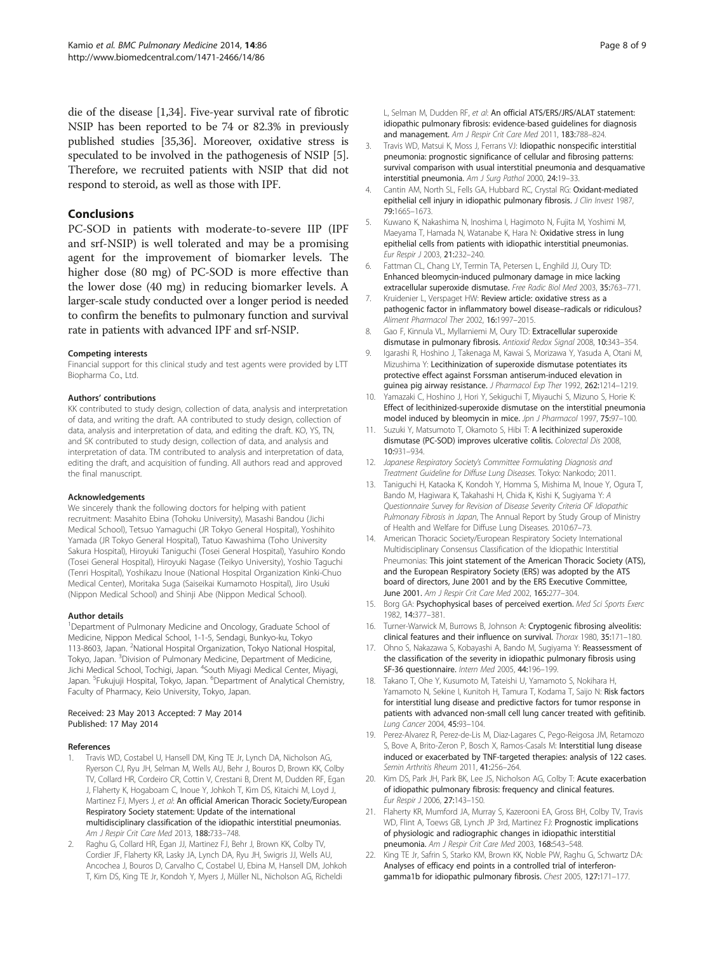<span id="page-7-0"></span>die of the disease [1[,34\]](#page-8-0). Five-year survival rate of fibrotic NSIP has been reported to be 74 or 82.3% in previously published studies [\[35,36](#page-8-0)]. Moreover, oxidative stress is speculated to be involved in the pathogenesis of NSIP [5]. Therefore, we recruited patients with NSIP that did not respond to steroid, as well as those with IPF.

#### Conclusions

PC-SOD in patients with moderate-to-severe IIP (IPF and srf-NSIP) is well tolerated and may be a promising agent for the improvement of biomarker levels. The higher dose (80 mg) of PC-SOD is more effective than the lower dose (40 mg) in reducing biomarker levels. A larger-scale study conducted over a longer period is needed to confirm the benefits to pulmonary function and survival rate in patients with advanced IPF and srf-NSIP.

#### Competing interests

Financial support for this clinical study and test agents were provided by LTT Biopharma Co., Ltd.

#### Authors' contributions

KK contributed to study design, collection of data, analysis and interpretation of data, and writing the draft. AA contributed to study design, collection of data, analysis and interpretation of data, and editing the draft. KO, YS, TN, and SK contributed to study design, collection of data, and analysis and interpretation of data. TM contributed to analysis and interpretation of data, editing the draft, and acquisition of funding. All authors read and approved the final manuscript.

#### Acknowledgements

We sincerely thank the following doctors for helping with patient recruitment: Masahito Ebina (Tohoku University), Masashi Bandou (Jichi Medical School), Tetsuo Yamaguchi (JR Tokyo General Hospital), Yoshihito Yamada (JR Tokyo General Hospital), Tatuo Kawashima (Toho University Sakura Hospital), Hiroyuki Taniguchi (Tosei General Hospital), Yasuhiro Kondo (Tosei General Hospital), Hiroyuki Nagase (Teikyo University), Yoshio Taguchi (Tenri Hospital), Yoshikazu Inoue (National Hospital Organization Kinki-Chuo Medical Center), Moritaka Suga (Saiseikai Kumamoto Hospital), Jiro Usuki (Nippon Medical School) and Shinji Abe (Nippon Medical School).

#### Author details

<sup>1</sup>Department of Pulmonary Medicine and Oncology, Graduate School of Medicine, Nippon Medical School, 1-1-5, Sendagi, Bunkyo-ku, Tokyo 113-8603, Japan. <sup>2</sup>National Hospital Organization, Tokyo National Hospital, Tokyo, Japan. <sup>3</sup> Division of Pulmonary Medicine, Department of Medicine, Jichi Medical School, Tochigi, Japan. <sup>4</sup>South Miyagi Medical Center, Miyagi, Japan. <sup>5</sup>Fukujuji Hospital, Tokyo, Japan. <sup>6</sup>Department of Analytical Chemistry, Faculty of Pharmacy, Keio University, Tokyo, Japan.

#### Received: 23 May 2013 Accepted: 7 May 2014 Published: 17 May 2014

#### References

- Travis WD, Costabel U, Hansell DM, King TE Jr, Lynch DA, Nicholson AG, Ryerson CJ, Ryu JH, Selman M, Wells AU, Behr J, Bouros D, Brown KK, Colby TV, Collard HR, Cordeiro CR, Cottin V, Crestani B, Drent M, Dudden RF, Egan J, Flaherty K, Hogaboam C, Inoue Y, Johkoh T, Kim DS, Kitaichi M, Loyd J, Martinez FJ, Myers J, et al: An official American Thoracic Society/European Respiratory Society statement: Update of the international multidisciplinary classification of the idiopathic interstitial pneumonias. Am J Respir Crit Care Med 2013, 188:733–748.
- 2. Raghu G, Collard HR, Egan JJ, Martinez FJ, Behr J, Brown KK, Colby TV, Cordier JF, Flaherty KR, Lasky JA, Lynch DA, Ryu JH, Swigris JJ, Wells AU, Ancochea J, Bouros D, Carvalho C, Costabel U, Ebina M, Hansell DM, Johkoh T, Kim DS, King TE Jr, Kondoh Y, Myers J, Müller NL, Nicholson AG, Richeldi
- Travis WD, Matsui K, Moss J, Ferrans VJ: Idiopathic nonspecific interstitial pneumonia: prognostic significance of cellular and fibrosing patterns: survival comparison with usual interstitial pneumonia and desquamative interstitial pneumonia. Am J Surg Pathol 2000, 24:19–33.
- 4. Cantin AM, North SL, Fells GA, Hubbard RC, Crystal RG: Oxidant-mediated epithelial cell injury in idiopathic pulmonary fibrosis. J Clin Invest 1987, 79:1665–1673.
- 5. Kuwano K, Nakashima N, Inoshima I, Hagimoto N, Fujita M, Yoshimi M, Maeyama T, Hamada N, Watanabe K, Hara N; Oxidative stress in lung epithelial cells from patients with idiopathic interstitial pneumonias. Eur Respir J 2003, 21:232–240.
- 6. Fattman CL, Chang LY, Termin TA, Petersen L, Enghild JJ, Oury TD: Enhanced bleomycin-induced pulmonary damage in mice lacking extracellular superoxide dismutase. Free Radic Biol Med 2003, 35:763–771.
- 7. Kruidenier L, Verspaget HW: Review article: oxidative stress as a pathogenic factor in inflammatory bowel disease–radicals or ridiculous? Aliment Pharmacol Ther 2002, 16:1997–2015.
- 8. Gao F, Kinnula VL, Myllarniemi M, Oury TD: Extracellular superoxide dismutase in pulmonary fibrosis. Antioxid Redox Signal 2008, 10:343–354.
- 9. Igarashi R, Hoshino J, Takenaga M, Kawai S, Morizawa Y, Yasuda A, Otani M, Mizushima Y: Lecithinization of superoxide dismutase potentiates its protective effect against Forssman antiserum-induced elevation in guinea pig airway resistance. J Pharmacol Exp Ther 1992, 262:1214-1219.
- 10. Yamazaki C, Hoshino J, Hori Y, Sekiguchi T, Miyauchi S, Mizuno S, Horie K: Effect of lecithinized-superoxide dismutase on the interstitial pneumonia model induced by bleomycin in mice. Jpn J Pharmacol 1997, 75:97-100.
- 11. Suzuki Y, Matsumoto T, Okamoto S, Hibi T: A lecithinized superoxide dismutase (PC-SOD) improves ulcerative colitis. Colorectal Dis 2008, 10:931–934.
- 12. Japanese Respiratory Society's Committee Formulating Diagnosis and Treatment Guideline for Diffuse Lung Diseases. Tokyo: Nankodo; 2011.
- 13. Taniguchi H, Kataoka K, Kondoh Y, Homma S, Mishima M, Inoue Y, Ogura T, Bando M, Hagiwara K, Takahashi H, Chida K, Kishi K, Sugiyama Y: A Questionnaire Survey for Revision of Disease Severity Criteria OF Idiopathic Pulmonary Fibrosis in Japan, The Annual Report by Study Group of Ministry of Health and Welfare for Diffuse Lung Diseases. 2010:67–73.
- 14. American Thoracic Society/European Respiratory Society International Multidisciplinary Consensus Classification of the Idiopathic Interstitial Pneumonias: This joint statement of the American Thoracic Society (ATS), and the European Respiratory Society (ERS) was adopted by the ATS board of directors, June 2001 and by the ERS Executive Committee, June 2001. Am J Respir Crit Care Med 2002, 165:277–304.
- 15. Borg GA: Psychophysical bases of perceived exertion. Med Sci Sports Exerc 1982, 14:377–381.
- 16. Turner-Warwick M, Burrows B, Johnson A: Cryptogenic fibrosing alveolitis: clinical features and their influence on survival. Thorax 1980, 35:171–180.
- 17. Ohno S, Nakazawa S, Kobayashi A, Bando M, Sugiyama Y: Reassessment of the classification of the severity in idiopathic pulmonary fibrosis using SF-36 questionnaire. Intern Med 2005, 44:196–199.
- 18. Takano T, Ohe Y, Kusumoto M, Tateishi U, Yamamoto S, Nokihara H, Yamamoto N, Sekine I, Kunitoh H, Tamura T, Kodama T, Saijo N: Risk factors for interstitial lung disease and predictive factors for tumor response in patients with advanced non-small cell lung cancer treated with gefitinib. Lung Cancer 2004, 45:93–104.
- 19. Perez-Alvarez R, Perez-de-Lis M, Diaz-Lagares C, Pego-Reigosa JM, Retamozo S, Bove A, Brito-Zeron P, Bosch X, Ramos-Casals M: Interstitial lung disease induced or exacerbated by TNF-targeted therapies: analysis of 122 cases. Semin Arthritis Rheum 2011, 41:256–264.
- 20. Kim DS, Park JH, Park BK, Lee JS, Nicholson AG, Colby T: Acute exacerbation of idiopathic pulmonary fibrosis: frequency and clinical features. Eur Respir J 2006, 27:143–150.
- 21. Flaherty KR, Mumford JA, Murray S, Kazerooni EA, Gross BH, Colby TV, Travis WD, Flint A, Toews GB, Lynch JP 3rd, Martinez FJ: Prognostic implications of physiologic and radiographic changes in idiopathic interstitial pneumonia. Am J Respir Crit Care Med 2003, 168:543–548.
- 22. King TE Jr, Safrin S, Starko KM, Brown KK, Noble PW, Raghu G, Schwartz DA: Analyses of efficacy end points in a controlled trial of interferongamma1b for idiopathic pulmonary fibrosis. Chest 2005, 127:171–177.